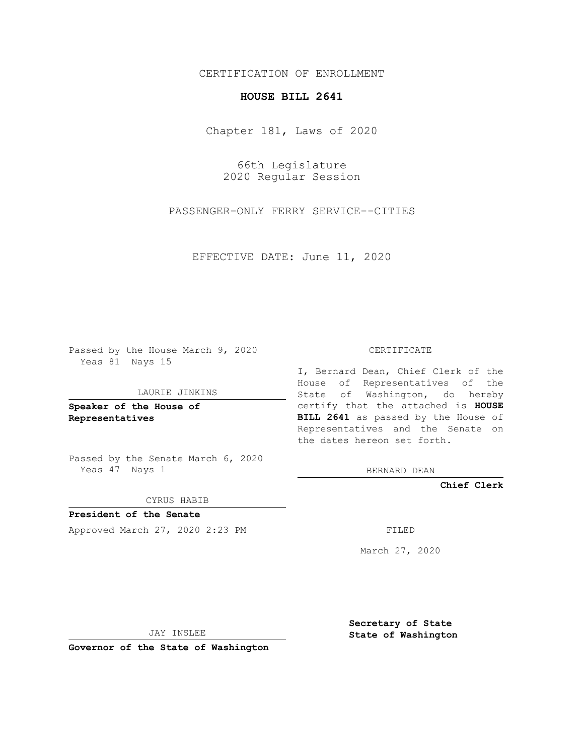## CERTIFICATION OF ENROLLMENT

## **HOUSE BILL 2641**

Chapter 181, Laws of 2020

66th Legislature 2020 Regular Session

PASSENGER-ONLY FERRY SERVICE--CITIES

EFFECTIVE DATE: June 11, 2020

Passed by the House March 9, 2020 Yeas 81 Nays 15

#### LAURIE JINKINS

**Speaker of the House of Representatives**

Passed by the Senate March 6, 2020 Yeas 47 Nays 1

#### CYRUS HABIB

**President of the Senate** Approved March 27, 2020 2:23 PM FILED

#### CERTIFICATE

I, Bernard Dean, Chief Clerk of the House of Representatives of the State of Washington, do hereby certify that the attached is **HOUSE BILL 2641** as passed by the House of Representatives and the Senate on the dates hereon set forth.

BERNARD DEAN

**Chief Clerk**

March 27, 2020

JAY INSLEE

**Governor of the State of Washington**

**Secretary of State State of Washington**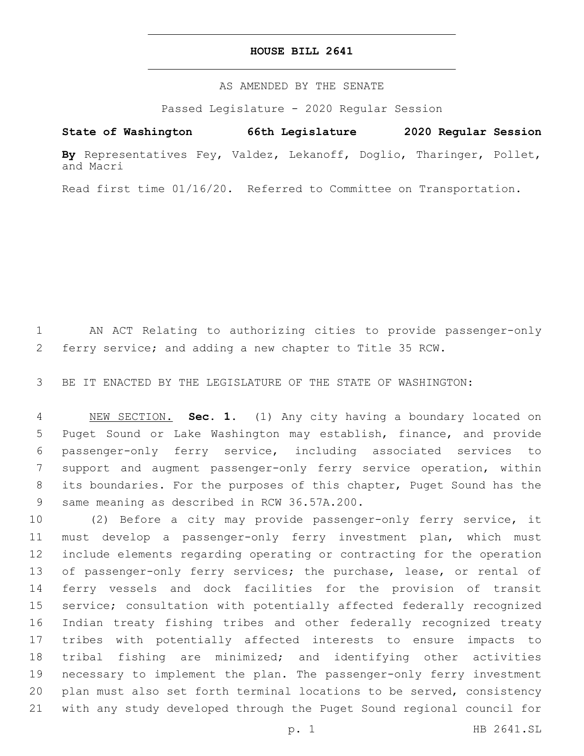### **HOUSE BILL 2641**

AS AMENDED BY THE SENATE

Passed Legislature - 2020 Regular Session

# **State of Washington 66th Legislature 2020 Regular Session**

**By** Representatives Fey, Valdez, Lekanoff, Doglio, Tharinger, Pollet, and Macri

Read first time 01/16/20. Referred to Committee on Transportation.

 AN ACT Relating to authorizing cities to provide passenger-only ferry service; and adding a new chapter to Title 35 RCW.

BE IT ENACTED BY THE LEGISLATURE OF THE STATE OF WASHINGTON:

 NEW SECTION. **Sec. 1.** (1) Any city having a boundary located on Puget Sound or Lake Washington may establish, finance, and provide passenger-only ferry service, including associated services to support and augment passenger-only ferry service operation, within its boundaries. For the purposes of this chapter, Puget Sound has the same meaning as described in RCW 36.57A.200.

 (2) Before a city may provide passenger-only ferry service, it must develop a passenger-only ferry investment plan, which must include elements regarding operating or contracting for the operation 13 of passenger-only ferry services; the purchase, lease, or rental of ferry vessels and dock facilities for the provision of transit service; consultation with potentially affected federally recognized Indian treaty fishing tribes and other federally recognized treaty tribes with potentially affected interests to ensure impacts to tribal fishing are minimized; and identifying other activities necessary to implement the plan. The passenger-only ferry investment plan must also set forth terminal locations to be served, consistency with any study developed through the Puget Sound regional council for